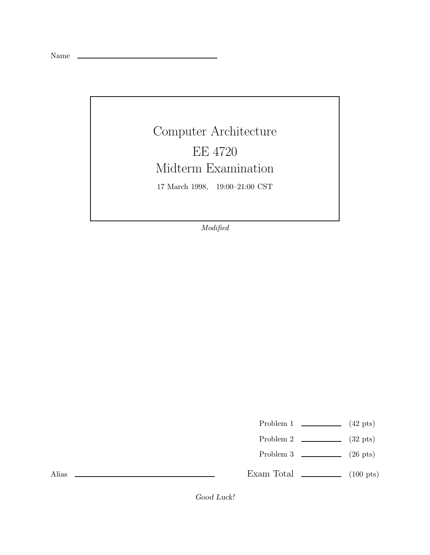Name

## Computer Architecture EE 4720 Midterm Examination 17 March 1998, 19:00–21:00 CST

Modified

Problem 1  $\qquad \qquad$  (42 pts)

- Problem 2 (32 pts)
- Problem 3  $\qquad \qquad$  (26 pts)

Exam Total  $\qquad \qquad$  (100 pts)

Alias

*Good Luck!*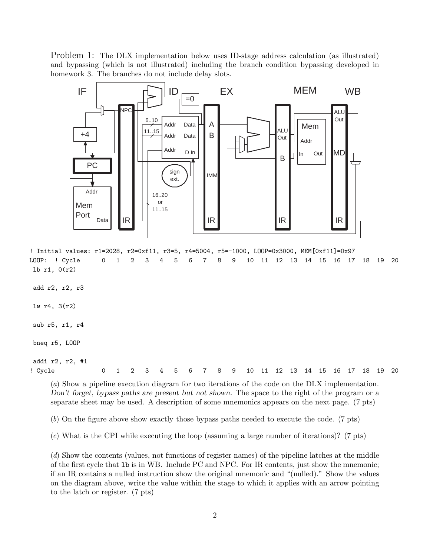Problem 1: The DLX implementation below uses ID-stage address calculation (as illustrated) and bypassing (which is not illustrated) including the branch condition bypassing developed in homework 3. The branches do not include delay slots.



! Initial values: r1=2028, r2=0xf11, r3=5, r4=5004, r5=-1000, LOOP=0x3000, MEM[0xf11]=0x97 LOOP: ! Cycle 0 1 2 3 4 5 6 7 8 9 10 11 12 13 14 15 16 17 18 19 20 lb r1, 0(r2)

add r2, r2, r3

lw r4, 3(r2)

sub r5, r1, r4

bneq r5, LOOP

addi r2, r2, #1

! Cycle 0 1 2 3 4 5 6 7 8 9 10 11 12 13 14 15 16 17 18 19 20

(a) Show a pipeline execution diagram for two iterations of the code on the DLX implementation. *Don't forget, bypass paths are present but not shown.* The space to the right of the program or a separate sheet may be used. A description of some mnemonics appears on the next page. (7 pts)

(b) On the figure above show exactly those bypass paths needed to execute the code. (7 pts)

(c) What is the CPI while executing the loop (assuming a large number of iterations)? (7 pts)

(d) Show the contents (values, not functions of register names) of the pipeline latches at the middle of the first cycle that lb is in WB. Include PC and NPC. For IR contents, just show the mnemonic; if an IR contains a nulled instruction show the original mnemonic and "(nulled)." Show the values on the diagram above, write the value within the stage to which it applies with an arrow pointing to the latch or register. (7 pts)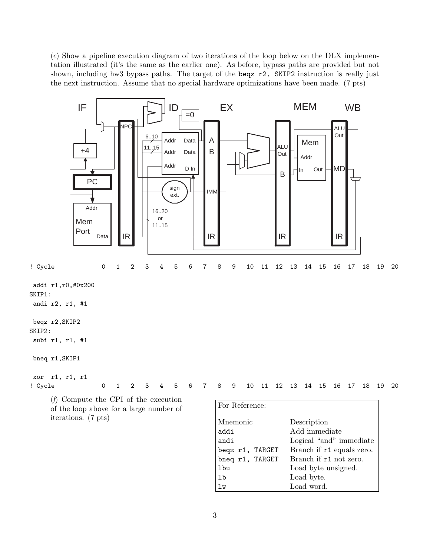(e) Show a pipeline execution diagram of two iterations of the loop below on the DLX implementation illustrated (it's the same as the earlier one). As before, bypass paths are provided but not shown, including hw3 bypass paths. The target of the beqz r2, SKIP2 instruction is really just the next instruction. Assume that no special hardware optimizations have been made. (7 pts)

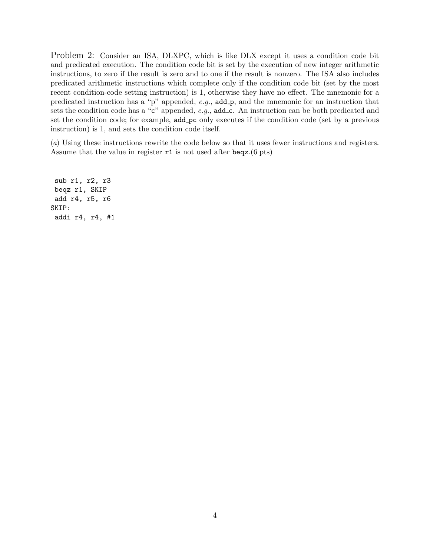Problem 2: Consider an ISA, DLXPC, which is like DLX except it uses a condition code bit and predicated execution. The condition code bit is set by the execution of new integer arithmetic instructions, to zero if the result is zero and to one if the result is nonzero. The ISA also includes predicated arithmetic instructions which complete only if the condition code bit (set by the most recent condition-code setting instruction) is 1, otherwise they have no effect. The mnemonic for a predicated instruction has a "p" appended,  $e.g.,$  add  $\mathbf{p}$ , and the mnemonic for an instruction that sets the condition code has a "c" appended,  $e.g.,$  add  $\text{c}$ . An instruction can be both predicated and set the condition code; for example, add pc only executes if the condition code (set by a previous instruction) is 1, and sets the condition code itself.

(a) Using these instructions rewrite the code below so that it uses fewer instructions and registers. Assume that the value in register  $r1$  is not used after beqz.(6 pts)

sub r1, r2, r3 beqz r1, SKIP add r4, r5, r6 SKIP: addi r4, r4, #1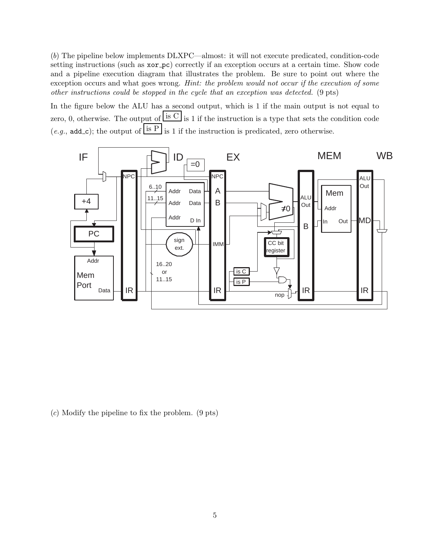(b) The pipeline below implements DLXPC—almost: it will not execute predicated, condition-code setting instructions (such as xor pc) correctly if an exception occurs at a certain time. Show code and a pipeline execution diagram that illustrates the problem. Be sure to point out where the exception occurs and what goes wrong. Hint: the problem would not occur if the execution of some other instructions could be stopped in the cycle that an exception was detected. (9 pts)

In the figure below the ALU has a second output, which is 1 if the main output is not equal to zero, 0, otherwise. The output of  $\frac{1}{s}$  is 1 if the instruction is a type that sets the condition code  $(e.g., \text{add-c})$ ; the output of  $\overline{1}$  is 1 if the instruction is predicated, zero otherwise.



(c) Modify the pipeline to fix the problem. (9 pts)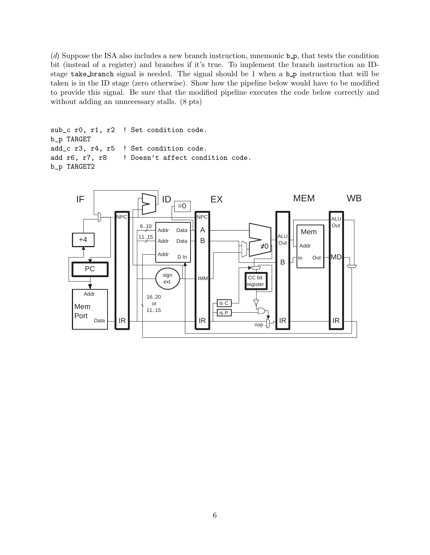(d) Suppose the ISA also includes a new branch instruction, mnemonic  $b_p$ , that tests the condition bit (instead of a register) and branches if it's true. To implement the branch instruction an IDstage take branch signal is needed. The signal should be 1 when a  $b_p$  instruction that will be taken is in the ID stage (zero otherwise). Show how the pipeline below would have to be modified to provide this signal. Be sure that the modified pipeline executes the code below correctly and without adding an unnecessary stalls. (8 pts)

```
sub_c r0, r1, r2 ! Set condition code.
b_p TARGET
add_c r3, r4, r5 ! Set condition code.
add r6, r7, r8 | Doesn't affect condition code.
b_p TARGET2
```